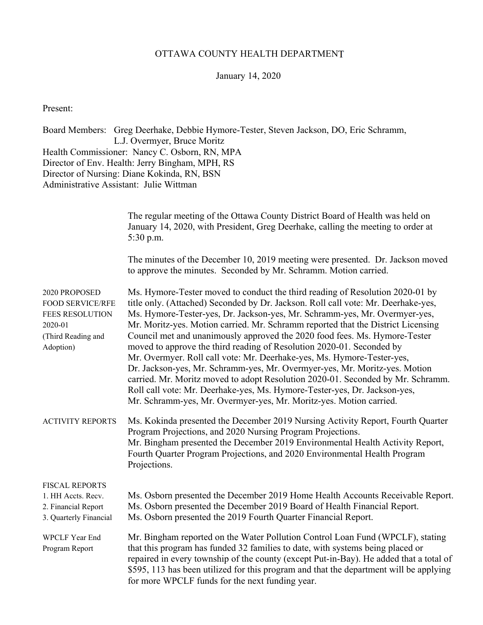### OTTAWA COUNTY HEALTH DEPARTMENT

### January 14, 2020

Present:

Board Members: Greg Deerhake, Debbie Hymore-Tester, Steven Jackson, DO, Eric Schramm, L.J. Overmyer, Bruce Moritz Health Commissioner: Nancy C. Osborn, RN, MPA Director of Env. Health: Jerry Bingham, MPH, RS Director of Nursing: Diane Kokinda, RN, BSN Administrative Assistant: Julie Wittman

|                                                                                                                  | The regular meeting of the Ottawa County District Board of Health was held on<br>January 14, 2020, with President, Greg Deerhake, calling the meeting to order at<br>5:30 p.m.                                                                                                                                                                                                                                                                                                                                                                                                                                                                                                                                                                                                                                                                                                            |
|------------------------------------------------------------------------------------------------------------------|-------------------------------------------------------------------------------------------------------------------------------------------------------------------------------------------------------------------------------------------------------------------------------------------------------------------------------------------------------------------------------------------------------------------------------------------------------------------------------------------------------------------------------------------------------------------------------------------------------------------------------------------------------------------------------------------------------------------------------------------------------------------------------------------------------------------------------------------------------------------------------------------|
|                                                                                                                  | The minutes of the December 10, 2019 meeting were presented. Dr. Jackson moved<br>to approve the minutes. Seconded by Mr. Schramm. Motion carried.                                                                                                                                                                                                                                                                                                                                                                                                                                                                                                                                                                                                                                                                                                                                        |
| 2020 PROPOSED<br><b>FOOD SERVICE/RFE</b><br><b>FEES RESOLUTION</b><br>2020-01<br>(Third Reading and<br>Adoption) | Ms. Hymore-Tester moved to conduct the third reading of Resolution 2020-01 by<br>title only. (Attached) Seconded by Dr. Jackson. Roll call vote: Mr. Deerhake-yes,<br>Ms. Hymore-Tester-yes, Dr. Jackson-yes, Mr. Schramm-yes, Mr. Overmyer-yes,<br>Mr. Moritz-yes. Motion carried. Mr. Schramm reported that the District Licensing<br>Council met and unanimously approved the 2020 food fees. Ms. Hymore-Tester<br>moved to approve the third reading of Resolution 2020-01. Seconded by<br>Mr. Overmyer. Roll call vote: Mr. Deerhake-yes, Ms. Hymore-Tester-yes,<br>Dr. Jackson-yes, Mr. Schramm-yes, Mr. Overmyer-yes, Mr. Moritz-yes. Motion<br>carried. Mr. Moritz moved to adopt Resolution 2020-01. Seconded by Mr. Schramm.<br>Roll call vote: Mr. Deerhake-yes, Ms. Hymore-Tester-yes, Dr. Jackson-yes,<br>Mr. Schramm-yes, Mr. Overmyer-yes, Mr. Moritz-yes. Motion carried. |
| <b>ACTIVITY REPORTS</b>                                                                                          | Ms. Kokinda presented the December 2019 Nursing Activity Report, Fourth Quarter<br>Program Projections, and 2020 Nursing Program Projections.<br>Mr. Bingham presented the December 2019 Environmental Health Activity Report,<br>Fourth Quarter Program Projections, and 2020 Environmental Health Program<br>Projections.                                                                                                                                                                                                                                                                                                                                                                                                                                                                                                                                                               |
| FISCAL REPORTS<br>1. HH Accts. Recv.<br>2. Financial Report<br>3. Quarterly Financial                            | Ms. Osborn presented the December 2019 Home Health Accounts Receivable Report.<br>Ms. Osborn presented the December 2019 Board of Health Financial Report.<br>Ms. Osborn presented the 2019 Fourth Quarter Financial Report.                                                                                                                                                                                                                                                                                                                                                                                                                                                                                                                                                                                                                                                              |
| <b>WPCLF Year End</b><br>Program Report                                                                          | Mr. Bingham reported on the Water Pollution Control Loan Fund (WPCLF), stating<br>that this program has funded 32 families to date, with systems being placed or<br>repaired in every township of the county (except Put-in-Bay). He added that a total of<br>\$595, 113 has been utilized for this program and that the department will be applying<br>for more WPCLF funds for the next funding year.                                                                                                                                                                                                                                                                                                                                                                                                                                                                                   |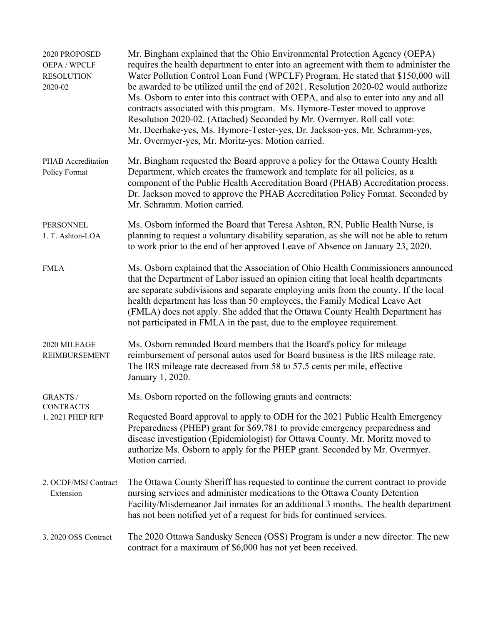| 2020 PROPOSED<br>OEPA / WPCLF<br><b>RESOLUTION</b><br>2020-02 | Mr. Bingham explained that the Ohio Environmental Protection Agency (OEPA)<br>requires the health department to enter into an agreement with them to administer the<br>Water Pollution Control Loan Fund (WPCLF) Program. He stated that \$150,000 will<br>be awarded to be utilized until the end of 2021. Resolution 2020-02 would authorize<br>Ms. Osborn to enter into this contract with OEPA, and also to enter into any and all<br>contracts associated with this program. Ms. Hymore-Tester moved to approve<br>Resolution 2020-02. (Attached) Seconded by Mr. Overmyer. Roll call vote:<br>Mr. Deerhake-yes, Ms. Hymore-Tester-yes, Dr. Jackson-yes, Mr. Schramm-yes,<br>Mr. Overmyer-yes, Mr. Moritz-yes. Motion carried. |
|---------------------------------------------------------------|-------------------------------------------------------------------------------------------------------------------------------------------------------------------------------------------------------------------------------------------------------------------------------------------------------------------------------------------------------------------------------------------------------------------------------------------------------------------------------------------------------------------------------------------------------------------------------------------------------------------------------------------------------------------------------------------------------------------------------------|
| PHAB Accreditation<br>Policy Format                           | Mr. Bingham requested the Board approve a policy for the Ottawa County Health<br>Department, which creates the framework and template for all policies, as a<br>component of the Public Health Accreditation Board (PHAB) Accreditation process.<br>Dr. Jackson moved to approve the PHAB Accreditation Policy Format. Seconded by<br>Mr. Schramm. Motion carried.                                                                                                                                                                                                                                                                                                                                                                  |
| PERSONNEL<br>1. T. Ashton-LOA                                 | Ms. Osborn informed the Board that Teresa Ashton, RN, Public Health Nurse, is<br>planning to request a voluntary disability separation, as she will not be able to return<br>to work prior to the end of her approved Leave of Absence on January 23, 2020.                                                                                                                                                                                                                                                                                                                                                                                                                                                                         |
| <b>FMLA</b>                                                   | Ms. Osborn explained that the Association of Ohio Health Commissioners announced<br>that the Department of Labor issued an opinion citing that local health departments<br>are separate subdivisions and separate employing units from the county. If the local<br>health department has less than 50 employees, the Family Medical Leave Act<br>(FMLA) does not apply. She added that the Ottawa County Health Department has<br>not participated in FMLA in the past, due to the employee requirement.                                                                                                                                                                                                                            |
| 2020 MILEAGE<br><b>REIMBURSEMENT</b>                          | Ms. Osborn reminded Board members that the Board's policy for mileage<br>reimbursement of personal autos used for Board business is the IRS mileage rate.<br>The IRS mileage rate decreased from 58 to 57.5 cents per mile, effective<br>January 1, 2020.                                                                                                                                                                                                                                                                                                                                                                                                                                                                           |
| <b>GRANTS /</b>                                               | Ms. Osborn reported on the following grants and contracts:                                                                                                                                                                                                                                                                                                                                                                                                                                                                                                                                                                                                                                                                          |
| <b>CONTRACTS</b><br>1.2021 PHEP RFP                           | Requested Board approval to apply to ODH for the 2021 Public Health Emergency<br>Preparedness (PHEP) grant for \$69,781 to provide emergency preparedness and<br>disease investigation (Epidemiologist) for Ottawa County. Mr. Moritz moved to<br>authorize Ms. Osborn to apply for the PHEP grant. Seconded by Mr. Overmyer.<br>Motion carried.                                                                                                                                                                                                                                                                                                                                                                                    |
| 2. OCDF/MSJ Contract<br>Extension                             | The Ottawa County Sheriff has requested to continue the current contract to provide<br>nursing services and administer medications to the Ottawa County Detention<br>Facility/Misdemeanor Jail inmates for an additional 3 months. The health department<br>has not been notified yet of a request for bids for continued services.                                                                                                                                                                                                                                                                                                                                                                                                 |
| 3. 2020 OSS Contract                                          | The 2020 Ottawa Sandusky Seneca (OSS) Program is under a new director. The new<br>contract for a maximum of \$6,000 has not yet been received.                                                                                                                                                                                                                                                                                                                                                                                                                                                                                                                                                                                      |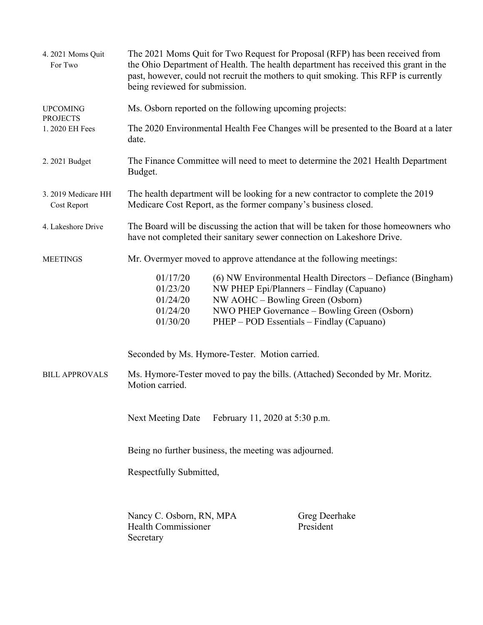| 4. 2021 Moms Quit<br>For Two       | The 2021 Moms Quit for Two Request for Proposal (RFP) has been received from<br>the Ohio Department of Health. The health department has received this grant in the<br>past, however, could not recruit the mothers to quit smoking. This RFP is currently<br>being reviewed for submission. |                                                  |                                                                                                                                                                                                     |  |
|------------------------------------|----------------------------------------------------------------------------------------------------------------------------------------------------------------------------------------------------------------------------------------------------------------------------------------------|--------------------------------------------------|-----------------------------------------------------------------------------------------------------------------------------------------------------------------------------------------------------|--|
| <b>UPCOMING</b>                    | Ms. Osborn reported on the following upcoming projects:                                                                                                                                                                                                                                      |                                                  |                                                                                                                                                                                                     |  |
| <b>PROJECTS</b><br>1. 2020 EH Fees | The 2020 Environmental Health Fee Changes will be presented to the Board at a later<br>date.                                                                                                                                                                                                 |                                                  |                                                                                                                                                                                                     |  |
| 2. 2021 Budget                     | The Finance Committee will need to meet to determine the 2021 Health Department<br>Budget.                                                                                                                                                                                                   |                                                  |                                                                                                                                                                                                     |  |
| 3. 2019 Medicare HH<br>Cost Report | The health department will be looking for a new contractor to complete the 2019<br>Medicare Cost Report, as the former company's business closed.                                                                                                                                            |                                                  |                                                                                                                                                                                                     |  |
| 4. Lakeshore Drive                 | The Board will be discussing the action that will be taken for those homeowners who<br>have not completed their sanitary sewer connection on Lakeshore Drive.                                                                                                                                |                                                  |                                                                                                                                                                                                     |  |
| <b>MEETINGS</b>                    | Mr. Overmyer moved to approve attendance at the following meetings:                                                                                                                                                                                                                          |                                                  |                                                                                                                                                                                                     |  |
|                                    | 01/17/20<br>01/23/20<br>01/24/20<br>01/24/20<br>01/30/20                                                                                                                                                                                                                                     | NW AOHC - Bowling Green (Osborn)                 | (6) NW Environmental Health Directors – Defiance (Bingham)<br>NW PHEP Epi/Planners - Findlay (Capuano)<br>NWO PHEP Governance – Bowling Green (Osborn)<br>PHEP – POD Essentials – Findlay (Capuano) |  |
|                                    |                                                                                                                                                                                                                                                                                              | Seconded by Ms. Hymore-Tester. Motion carried.   |                                                                                                                                                                                                     |  |
| <b>BILL APPROVALS</b>              | Motion carried.                                                                                                                                                                                                                                                                              |                                                  | Ms. Hymore-Tester moved to pay the bills. (Attached) Seconded by Mr. Moritz.                                                                                                                        |  |
|                                    |                                                                                                                                                                                                                                                                                              | Next Meeting Date February 11, 2020 at 5:30 p.m. |                                                                                                                                                                                                     |  |
|                                    | Being no further business, the meeting was adjourned.                                                                                                                                                                                                                                        |                                                  |                                                                                                                                                                                                     |  |
|                                    | Respectfully Submitted,                                                                                                                                                                                                                                                                      |                                                  |                                                                                                                                                                                                     |  |
|                                    | Nancy C. Osborn, RN, MPA<br><b>Health Commissioner</b><br>Secretary                                                                                                                                                                                                                          |                                                  | Greg Deerhake<br>President                                                                                                                                                                          |  |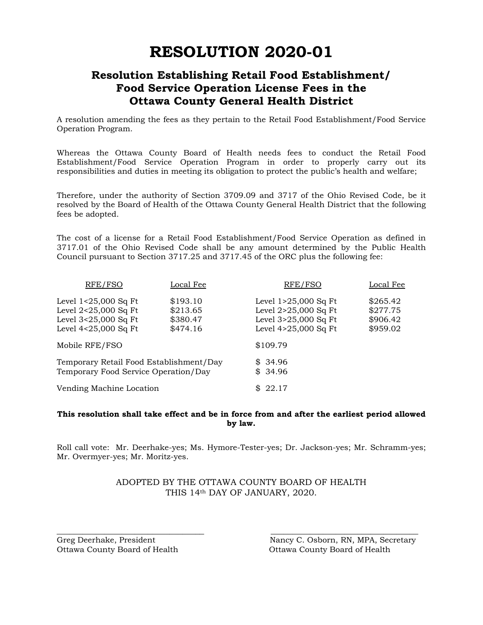# **RESOLUTION 2020-01**

### **Resolution Establishing Retail Food Establishment/ Food Service Operation License Fees in the Ottawa County General Health District**

A resolution amending the fees as they pertain to the Retail Food Establishment/Food Service Operation Program.

Whereas the Ottawa County Board of Health needs fees to conduct the Retail Food Establishment/Food Service Operation Program in order to properly carry out its responsibilities and duties in meeting its obligation to protect the public's health and welfare;

Therefore, under the authority of Section 3709.09 and 3717 of the Ohio Revised Code, be it resolved by the Board of Health of the Ottawa County General Health District that the following fees be adopted.

The cost of a license for a Retail Food Establishment/Food Service Operation as defined in 3717.01 of the Ohio Revised Code shall be any amount determined by the Public Health Council pursuant to Section 3717.25 and 3717.45 of the ORC plus the following fee:

| RFE/FSO                                                                                        | Local Fee                                    | RFE/FSO                                                                                        | Local Fee                                    |
|------------------------------------------------------------------------------------------------|----------------------------------------------|------------------------------------------------------------------------------------------------|----------------------------------------------|
| Level $1<25,000$ Sq Ft<br>Level 2<25,000 Sq Ft<br>Level 3<25,000 Sq Ft<br>Level 4<25,000 Sq Ft | \$193.10<br>\$213.65<br>\$380.47<br>\$474.16 | Level $1>25,000$ Sq Ft<br>Level 2>25,000 Sq Ft<br>Level 3>25,000 Sq Ft<br>Level 4>25,000 Sq Ft | \$265.42<br>\$277.75<br>\$906.42<br>\$959.02 |
| Mobile RFE/FSO                                                                                 |                                              | \$109.79                                                                                       |                                              |
| Temporary Retail Food Establishment/Day<br>Temporary Food Service Operation/Day                |                                              | \$34.96<br>\$34.96                                                                             |                                              |
| Vending Machine Location                                                                       |                                              | \$22.17                                                                                        |                                              |

#### **This resolution shall take effect and be in force from and after the earliest period allowed by law.**

Roll call vote: Mr. Deerhake-yes; Ms. Hymore-Tester-yes; Dr. Jackson-yes; Mr. Schramm-yes; Mr. Overmyer-yes; Mr. Moritz-yes.

### ADOPTED BY THE OTTAWA COUNTY BOARD OF HEALTH THIS 14th DAY OF JANUARY, 2020.

\_\_\_\_\_\_\_\_\_\_\_\_\_\_\_\_\_\_\_\_\_\_\_\_\_\_\_\_\_\_\_\_\_\_ \_\_\_\_\_\_\_\_\_\_\_\_\_\_\_\_\_\_\_\_\_\_\_\_\_\_\_\_\_\_\_\_\_\_

Ottawa County Board of Health Ottawa County Board of Health

Greg Deerhake, President Nancy C. Osborn, RN, MPA, Secretary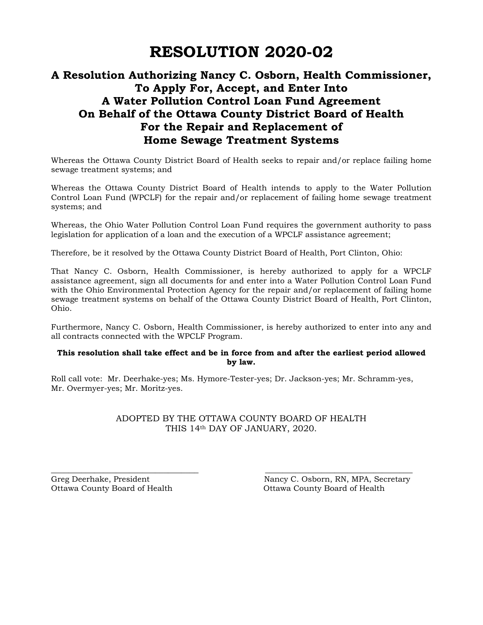## **RESOLUTION 2020-02**

### **A Resolution Authorizing Nancy C. Osborn, Health Commissioner, To Apply For, Accept, and Enter Into A Water Pollution Control Loan Fund Agreement On Behalf of the Ottawa County District Board of Health For the Repair and Replacement of Home Sewage Treatment Systems**

Whereas the Ottawa County District Board of Health seeks to repair and/or replace failing home sewage treatment systems; and

Whereas the Ottawa County District Board of Health intends to apply to the Water Pollution Control Loan Fund (WPCLF) for the repair and/or replacement of failing home sewage treatment systems; and

Whereas, the Ohio Water Pollution Control Loan Fund requires the government authority to pass legislation for application of a loan and the execution of a WPCLF assistance agreement;

Therefore, be it resolved by the Ottawa County District Board of Health, Port Clinton, Ohio:

That Nancy C. Osborn, Health Commissioner, is hereby authorized to apply for a WPCLF assistance agreement, sign all documents for and enter into a Water Pollution Control Loan Fund with the Ohio Environmental Protection Agency for the repair and/or replacement of failing home sewage treatment systems on behalf of the Ottawa County District Board of Health, Port Clinton, Ohio.

Furthermore, Nancy C. Osborn, Health Commissioner, is hereby authorized to enter into any and all contracts connected with the WPCLF Program.

#### **This resolution shall take effect and be in force from and after the earliest period allowed by law.**

Roll call vote: Mr. Deerhake-yes; Ms. Hymore-Tester-yes; Dr. Jackson-yes; Mr. Schramm-yes, Mr. Overmyer-yes; Mr. Moritz-yes.

\_\_\_\_\_\_\_\_\_\_\_\_\_\_\_\_\_\_\_\_\_\_\_\_\_\_\_\_\_\_\_\_\_\_ \_\_\_\_\_\_\_\_\_\_\_\_\_\_\_\_\_\_\_\_\_\_\_\_\_\_\_\_\_\_\_\_\_\_

### ADOPTED BY THE OTTAWA COUNTY BOARD OF HEALTH THIS 14th DAY OF JANUARY, 2020.

Ottawa County Board of Health Ottawa County Board of Health

Greg Deerhake, President Nancy C. Osborn, RN, MPA, Secretary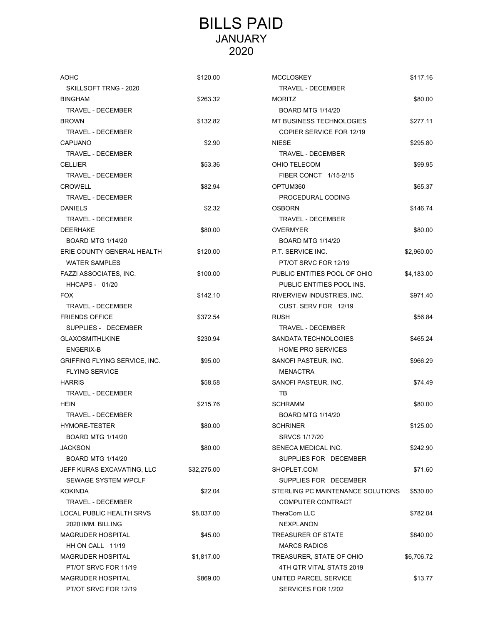## BILLS PAID JANUARY 2020

| <b>AOHC</b>                   | \$120.00    | <b>MCCLOSKEY</b>                  | \$117.16   |
|-------------------------------|-------------|-----------------------------------|------------|
| SKILLSOFT TRNG - 2020         |             | TRAVEL - DECEMBER                 |            |
| <b>BINGHAM</b>                | \$263.32    | <b>MORITZ</b>                     | \$80.00    |
| TRAVEL - DECEMBER             |             | <b>BOARD MTG 1/14/20</b>          |            |
| <b>BROWN</b>                  | \$132.82    | MT BUSINESS TECHNOLOGIES          | \$277.11   |
| TRAVEL - DECEMBER             |             | <b>COPIER SERVICE FOR 12/19</b>   |            |
| <b>CAPUANO</b>                | \$2.90      | <b>NIESE</b>                      | \$295.80   |
| <b>TRAVEL - DECEMBER</b>      |             | TRAVEL - DECEMBER                 |            |
| <b>CELLIER</b>                | \$53.36     | OHIO TELECOM                      | \$99.95    |
| <b>TRAVEL - DECEMBER</b>      |             | FIBER CONCT 1/15-2/15             |            |
| <b>CROWELL</b>                | \$82.94     | OPTUM360                          | \$65.37    |
| TRAVEL - DECEMBER             |             | PROCEDURAL CODING                 |            |
| <b>DANIELS</b>                | \$2.32      | <b>OSBORN</b>                     | \$146.74   |
| <b>TRAVEL - DECEMBER</b>      |             | TRAVEL - DECEMBER                 |            |
| <b>DEERHAKE</b>               | \$80.00     | <b>OVERMYER</b>                   | \$80.00    |
| <b>BOARD MTG 1/14/20</b>      |             | <b>BOARD MTG 1/14/20</b>          |            |
| ERIE COUNTY GENERAL HEALTH    | \$120.00    | P.T. SERVICE INC.                 | \$2,960.00 |
| <b>WATER SAMPLES</b>          |             | PT/OT SRVC FOR 12/19              |            |
| FAZZI ASSOCIATES, INC.        | \$100.00    | PUBLIC ENTITIES POOL OF OHIO      | \$4,183.00 |
| <b>HHCAPS - 01/20</b>         |             | PUBLIC ENTITIES POOL INS.         |            |
| <b>FOX</b>                    | \$142.10    | RIVERVIEW INDUSTRIES, INC.        | \$971.40   |
| TRAVEL - DECEMBER             |             | CUST. SERV FOR 12/19              |            |
| <b>FRIENDS OFFICE</b>         | \$372.54    | <b>RUSH</b>                       | \$56.84    |
| SUPPLIES - DECEMBER           |             | TRAVEL - DECEMBER                 |            |
| <b>GLAXOSMITHLKINE</b>        | \$230.94    | SANDATA TECHNOLOGIES              | \$465.24   |
| <b>ENGERIX-B</b>              |             | <b>HOME PRO SERVICES</b>          |            |
| GRIFFING FLYING SERVICE, INC. | \$95.00     | SANOFI PASTEUR, INC.              | \$966.29   |
| <b>FLYING SERVICE</b>         |             | <b>MENACTRA</b>                   |            |
| <b>HARRIS</b>                 | \$58.58     | SANOFI PASTEUR, INC.              | \$74.49    |
| TRAVEL - DECEMBER             |             | TВ                                |            |
| HEIN                          | \$215.76    | SCHRAMM                           | \$80.00    |
| <b>TRAVEL - DECEMBER</b>      |             | <b>BOARD MTG 1/14/20</b>          |            |
| <b>HYMORE-TESTER</b>          | \$80.00     | <b>SCHRINER</b>                   | \$125.00   |
| <b>BOARD MTG 1/14/20</b>      |             | SRVCS 1/17/20                     |            |
| <b>JACKSON</b>                | \$80.00     | SENECA MEDICAL INC.               | \$242.90   |
| <b>BOARD MTG 1/14/20</b>      |             | SUPPLIES FOR DECEMBER             |            |
| JEFF KURAS EXCAVATING, LLC    | \$32,275.00 | SHOPLET.COM                       | \$71.60    |
| SEWAGE SYSTEM WPCLF           |             | SUPPLIES FOR DECEMBER             |            |
| <b>KOKINDA</b>                | \$22.04     | STERLING PC MAINTENANCE SOLUTIONS | \$530.00   |
| TRAVEL - DECEMBER             |             | COMPUTER CONTRACT                 |            |
| LOCAL PUBLIC HEALTH SRVS      | \$8,037.00  | TheraCom LLC                      | \$782.04   |
| 2020 IMM. BILLING             |             | <b>NEXPLANON</b>                  |            |
| <b>MAGRUDER HOSPITAL</b>      | \$45.00     | TREASURER OF STATE                | \$840.00   |
| HH ON CALL 11/19              |             | <b>MARCS RADIOS</b>               |            |
| <b>MAGRUDER HOSPITAL</b>      | \$1,817.00  | TREASURER, STATE OF OHIO          | \$6,706.72 |
| PT/OT SRVC FOR 11/19          |             | 4TH QTR VITAL STATS 2019          |            |
| <b>MAGRUDER HOSPITAL</b>      | \$869.00    | UNITED PARCEL SERVICE             | \$13.77    |
| PT/OT SRVC FOR 12/19          |             | SERVICES FOR 1/202                |            |